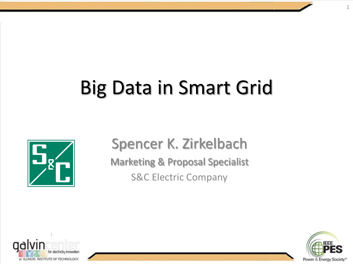# Big Data in Smart Grid



Spencer K. Zirkelbach Marketing & Proposal Specialist S&C Electric Company





1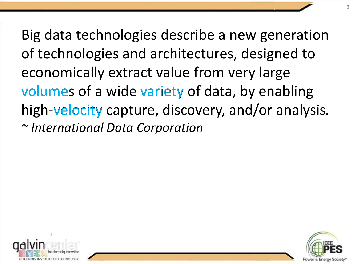Big data technologies describe a new generation of technologies and architectures, designed to economically extract value from very large volumes of a wide variety of data, by enabling high-velocity capture, discovery, and/or analysis. *~ International Data Corporation*



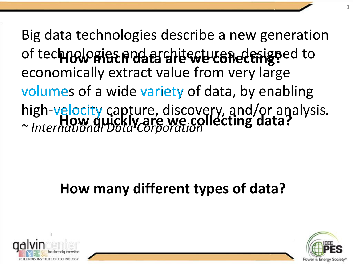Big data technologies describe a new generation of technologies and architectures, designed to economically extract value from very large volumes of a wide variety of data, by enabling high-velocity capture, discovery, and/or analysis*. ~ International Data Corporation* velocity **How much data are we collecting? How quickly are we collecting data?**

### **How many different types of data?**



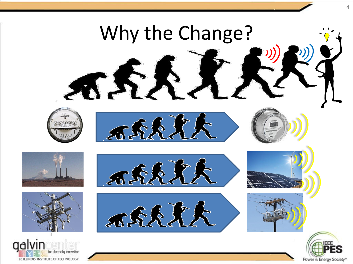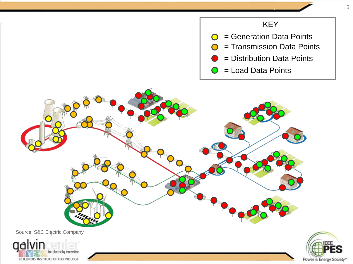#### KEY



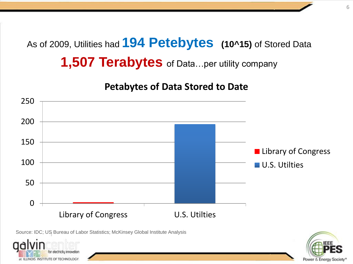As of 2009, Utilities had **194 Petebytes (10^15)** of Stored Data **1,507 Terabytes** of Data...per utility company

**Petabytes of Data Stored to Date**